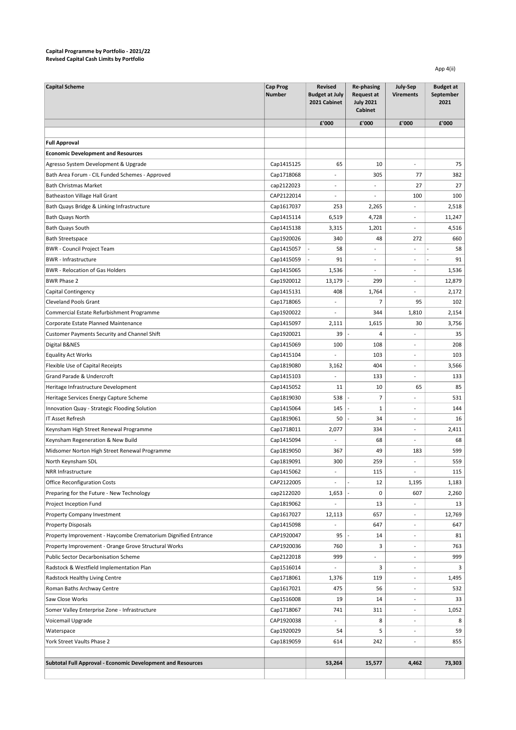## Capital Programme by Portfolio - 2021/22 Revised Capital Cash Limits by Portfolio

App 4(ii)

| <b>Capital Scheme</b>                                             | <b>Cap Prog</b><br><b>Number</b> | <b>Revised</b><br><b>Budget at July</b><br>2021 Cabinet | Re-phasing<br><b>Request at</b><br><b>July 2021</b><br><b>Cabinet</b> | July-Sep<br><b>Virements</b> | <b>Budget at</b><br>September<br>2021 |
|-------------------------------------------------------------------|----------------------------------|---------------------------------------------------------|-----------------------------------------------------------------------|------------------------------|---------------------------------------|
|                                                                   |                                  | £'000                                                   | £'000                                                                 | £'000                        | £'000                                 |
|                                                                   |                                  |                                                         |                                                                       |                              |                                       |
| <b>Full Approval</b>                                              |                                  |                                                         |                                                                       |                              |                                       |
| <b>Economic Development and Resources</b>                         |                                  |                                                         |                                                                       |                              |                                       |
| Agresso System Development & Upgrade                              | Cap1415125                       | 65                                                      | 10                                                                    |                              | 75                                    |
| Bath Area Forum - CIL Funded Schemes - Approved                   | Cap1718068                       | $\overline{a}$                                          | 305                                                                   | 77                           | 382                                   |
| <b>Bath Christmas Market</b>                                      | cap2122023                       | L.                                                      | $\overline{a}$                                                        | 27                           | 27                                    |
| Batheaston Village Hall Grant                                     | CAP2122014                       | $\overline{a}$                                          | $\overline{\phantom{a}}$                                              | 100                          | 100                                   |
| Bath Quays Bridge & Linking Infrastructure                        | Cap1617037                       | 253                                                     | 2,265                                                                 |                              | 2,518                                 |
| <b>Bath Quays North</b>                                           | Cap1415114                       | 6,519                                                   | 4,728                                                                 |                              | 11,247                                |
| Bath Quays South                                                  | Cap1415138                       | 3,315                                                   | 1,201                                                                 |                              | 4,516                                 |
| <b>Bath Streetspace</b>                                           | Cap1920026                       | 340                                                     | 48                                                                    | 272                          | 660                                   |
| <b>BWR</b> - Council Project Team                                 | Cap1415057                       | 58                                                      | $\overline{a}$                                                        | $\overline{a}$               | 58                                    |
| <b>BWR</b> - Infrastructure                                       | Cap1415059                       | 91                                                      | $\overline{\phantom{a}}$                                              | $\overline{a}$               | 91                                    |
| <b>BWR</b> - Relocation of Gas Holders                            | Cap1415065                       | 1,536                                                   | $\overline{\phantom{a}}$                                              | $\overline{\phantom{a}}$     | 1,536                                 |
| <b>BWR Phase 2</b>                                                | Cap1920012                       | 13,179                                                  | 299                                                                   | $\overline{\phantom{a}}$     | 12,879                                |
| Capital Contingency                                               | Cap1415131                       | 408                                                     | 1,764                                                                 | $\overline{\phantom{a}}$     | 2,172                                 |
| <b>Cleveland Pools Grant</b>                                      | Cap1718065                       | $\overline{a}$                                          | $\overline{7}$                                                        | 95                           | 102                                   |
| Commercial Estate Refurbishment Programme                         | Cap1920022                       | $\overline{\phantom{a}}$                                | 344                                                                   | 1,810                        | 2,154                                 |
| Corporate Estate Planned Maintenance                              | Cap1415097                       | 2,111                                                   | 1,615                                                                 | 30                           | 3,756                                 |
| Customer Payments Security and Channel Shift                      | Cap1920021                       | 39                                                      | $\overline{4}$                                                        |                              | 35                                    |
| Digital B&NES                                                     | Cap1415069                       | 100                                                     | 108                                                                   | $\overline{a}$               | 208                                   |
| <b>Equality Act Works</b>                                         | Cap1415104                       |                                                         | 103                                                                   |                              | 103                                   |
| Flexible Use of Capital Receipts                                  | Cap1819080                       | 3,162                                                   | 404                                                                   | $\overline{\phantom{a}}$     | 3,566                                 |
| Grand Parade & Undercroft                                         | Cap1415103                       | $\overline{a}$                                          | 133                                                                   | $\overline{a}$               | 133                                   |
| Heritage Infrastructure Development                               | Cap1415052                       | 11                                                      | 10                                                                    | 65                           | 85                                    |
|                                                                   | Cap1819030                       | 538                                                     | $\overline{7}$                                                        |                              | 531                                   |
| Heritage Services Energy Capture Scheme                           | Cap1415064                       | 145                                                     | $\mathbf{1}$                                                          |                              | 144                                   |
| Innovation Quay - Strategic Flooding Solution<br>IT Asset Refresh | Cap1819061                       | 50                                                      | 34                                                                    |                              | 16                                    |
|                                                                   |                                  |                                                         |                                                                       |                              |                                       |
| Keynsham High Street Renewal Programme                            | Cap1718011                       | 2,077                                                   | 334                                                                   | $\overline{\phantom{a}}$     | 2,411                                 |
| Keynsham Regeneration & New Build                                 | Cap1415094                       |                                                         | 68                                                                    |                              | 68                                    |
| Midsomer Norton High Street Renewal Programme                     | Cap1819050                       | 367                                                     | 49                                                                    | 183                          | 599                                   |
| North Keynsham SDL                                                | Cap1819091                       | 300                                                     | 259                                                                   |                              | 559                                   |
| NRR Infrastructure                                                | Cap1415062                       | $\overline{a}$                                          | 115                                                                   |                              | 115                                   |
| <b>Office Reconfiguration Costs</b>                               | CAP2122005                       | L,                                                      | 12                                                                    | 1,195                        | 1,183                                 |
| Preparing for the Future - New Technology                         | cap2122020                       | 1,653                                                   | 0                                                                     | 607                          | 2,260                                 |
| Project Inception Fund                                            | Cap1819062                       |                                                         | 13                                                                    |                              | 13                                    |
| Property Company Investment                                       | Cap1617027                       | 12,113                                                  | 657                                                                   | $\overline{\phantom{a}}$     | 12,769                                |
| <b>Property Disposals</b>                                         | Cap1415098                       |                                                         | 647                                                                   | $\overline{\phantom{a}}$     | 647                                   |
| Property Improvement - Haycombe Crematorium Dignified Entrance    | CAP1920047                       | 95                                                      | 14                                                                    | $\overline{\phantom{a}}$     | 81                                    |
| Property Improvement - Orange Grove Structural Works              | CAP1920036                       | 760                                                     | 3                                                                     | $\overline{\phantom{a}}$     | 763                                   |
| Public Sector Decarbonisation Scheme                              | Cap2122018                       | 999                                                     | $\overline{\phantom{a}}$                                              | $\overline{\phantom{a}}$     | 999                                   |
| Radstock & Westfield Implementation Plan                          | Cap1516014                       | $\overline{\phantom{a}}$                                | 3                                                                     | $\overline{\phantom{a}}$     | 3                                     |
| Radstock Healthy Living Centre                                    | Cap1718061                       | 1,376                                                   | 119                                                                   | $\overline{\phantom{a}}$     | 1,495                                 |
| Roman Baths Archway Centre                                        | Cap1617021                       | 475                                                     | 56                                                                    | $\overline{\phantom{a}}$     | 532                                   |
| Saw Close Works                                                   | Cap1516008                       | 19                                                      | 14                                                                    | $\overline{\phantom{a}}$     | 33                                    |
| Somer Valley Enterprise Zone - Infrastructure                     | Cap1718067                       | 741                                                     | 311                                                                   |                              | 1,052                                 |
| Voicemail Upgrade                                                 | CAP1920038                       |                                                         | 8                                                                     | $\overline{\phantom{a}}$     | 8                                     |
| Waterspace                                                        | Cap1920029                       | 54                                                      | 5                                                                     | $\overline{a}$               | 59                                    |
| York Street Vaults Phase 2                                        | Cap1819059                       | 614                                                     | 242                                                                   |                              | 855                                   |
|                                                                   |                                  |                                                         |                                                                       |                              |                                       |
| Subtotal Full Approval - Economic Development and Resources       |                                  | 53,264                                                  | 15,577                                                                | 4,462                        | 73,303                                |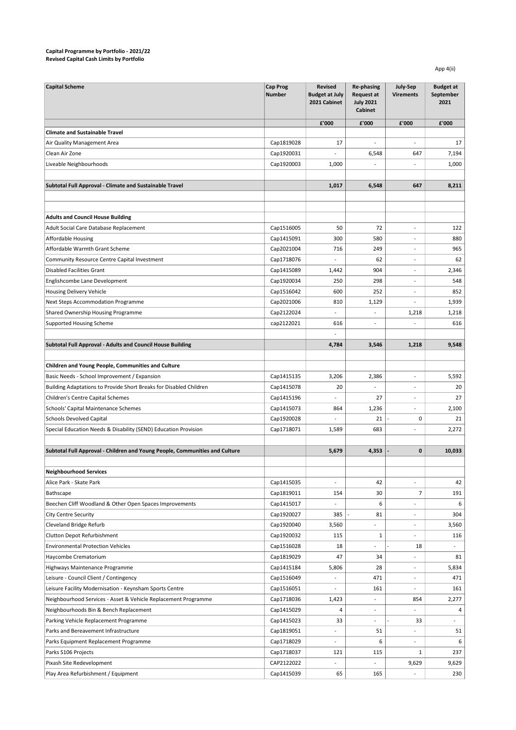## Capital Programme by Portfolio - 2021/22 Revised Capital Cash Limits by Portfolio

App 4(ii)

| <b>Capital Scheme</b>                                                       | <b>Cap Prog</b><br><b>Number</b> | <b>Revised</b><br><b>Budget at July</b><br>2021 Cabinet | <b>Re-phasing</b><br><b>Request at</b><br><b>July 2021</b><br><b>Cabinet</b> | July-Sep<br><b>Virements</b> | <b>Budget at</b><br>September<br>2021 |
|-----------------------------------------------------------------------------|----------------------------------|---------------------------------------------------------|------------------------------------------------------------------------------|------------------------------|---------------------------------------|
|                                                                             |                                  | £'000                                                   | £'000                                                                        | £'000                        | £'000                                 |
| <b>Climate and Sustainable Travel</b>                                       |                                  |                                                         |                                                                              |                              |                                       |
| Air Quality Management Area                                                 | Cap1819028                       | 17                                                      | $\overline{a}$                                                               |                              | 17                                    |
| Clean Air Zone                                                              | Cap1920031                       |                                                         | 6,548                                                                        | 647                          | 7,194                                 |
| Liveable Neighbourhoods                                                     | Cap1920003                       | 1,000                                                   |                                                                              |                              | 1,000                                 |
|                                                                             |                                  |                                                         |                                                                              |                              |                                       |
| Subtotal Full Approval - Climate and Sustainable Travel                     |                                  | 1,017                                                   | 6,548                                                                        | 647                          | 8,211                                 |
|                                                                             |                                  |                                                         |                                                                              |                              |                                       |
|                                                                             |                                  |                                                         |                                                                              |                              |                                       |
| <b>Adults and Council House Building</b>                                    |                                  |                                                         |                                                                              |                              |                                       |
| Adult Social Care Database Replacement                                      | Cap1516005                       | 50                                                      | 72                                                                           | $\overline{a}$               | 122                                   |
| Affordable Housing                                                          | Cap1415091                       | 300                                                     | 580                                                                          | $\qquad \qquad \blacksquare$ | 880                                   |
| Affordable Warmth Grant Scheme                                              | Cap2021004                       | 716                                                     | 249                                                                          | $\overline{\phantom{a}}$     | 965                                   |
| Community Resource Centre Capital Investment                                | Cap1718076                       | $\overline{a}$                                          | 62                                                                           | $\overline{\phantom{a}}$     | 62                                    |
| <b>Disabled Facilities Grant</b>                                            | Cap1415089                       | 1,442                                                   | 904                                                                          | $\overline{\phantom{a}}$     | 2,346                                 |
| Englishcombe Lane Development                                               | Cap1920034                       | 250                                                     | 298                                                                          | $\overline{\phantom{a}}$     | 548                                   |
| Housing Delivery Vehicle                                                    | Cap1516042                       | 600                                                     | 252                                                                          | $\sim$                       | 852                                   |
| Next Steps Accommodation Programme                                          | Cap2021006                       | 810                                                     | 1,129                                                                        | $\overline{a}$               | 1,939                                 |
| Shared Ownership Housing Programme                                          | Cap2122024                       | $\overline{a}$                                          | $\overline{a}$                                                               | 1,218                        | 1,218                                 |
| Supported Housing Scheme                                                    | cap2122021                       | 616                                                     | $\overline{a}$                                                               |                              | 616                                   |
|                                                                             |                                  |                                                         |                                                                              |                              |                                       |
| Subtotal Full Approval - Adults and Council House Building                  |                                  | 4,784                                                   | 3,546                                                                        | 1,218                        | 9,548                                 |
|                                                                             |                                  |                                                         |                                                                              |                              |                                       |
| Children and Young People, Communities and Culture                          |                                  |                                                         |                                                                              |                              |                                       |
| Basic Needs - School Improvement / Expansion                                | Cap1415135                       | 3,206                                                   | 2,386                                                                        |                              | 5,592                                 |
| Building Adaptations to Provide Short Breaks for Disabled Children          | Cap1415078                       | 20                                                      |                                                                              |                              | 20                                    |
| Children's Centre Capital Schemes                                           | Cap1415196                       |                                                         | 27                                                                           |                              | 27                                    |
| Schools' Capital Maintenance Schemes                                        | Cap1415073                       | 864                                                     | 1,236                                                                        |                              | 2,100                                 |
| <b>Schools Devolved Capital</b>                                             | Cap1920028                       |                                                         | 21                                                                           | 0                            | 21                                    |
| Special Education Needs & Disability (SEND) Education Provision             | Cap1718071                       | 1,589                                                   | 683                                                                          |                              | 2,272                                 |
|                                                                             |                                  |                                                         |                                                                              |                              |                                       |
| Subtotal Full Approval - Children and Young People, Communities and Culture |                                  | 5,679                                                   | 4,353                                                                        | 0                            | 10,033                                |
|                                                                             |                                  |                                                         |                                                                              |                              |                                       |
| <b>Neighbourhood Services</b>                                               |                                  |                                                         |                                                                              |                              |                                       |
| Alice Park - Skate Park                                                     | Cap1415035                       | $\overline{\phantom{a}}$                                | 42                                                                           | $\overline{\phantom{a}}$     | 42                                    |
| Bathscape                                                                   | Cap1819011                       | 154                                                     | 30                                                                           | $\overline{7}$               | 191                                   |
| Beechen Cliff Woodland & Other Open Spaces Improvements                     | Cap1415017                       | $\overline{\phantom{0}}$                                | 6                                                                            | $\qquad \qquad \blacksquare$ | 6                                     |
| City Centre Security                                                        | Cap1920027                       | 385                                                     | 81                                                                           | $\overline{\phantom{a}}$     | 304                                   |
| Cleveland Bridge Refurb                                                     | Cap1920040                       | 3,560                                                   | $\overline{\phantom{a}}$                                                     | $\overline{\phantom{a}}$     | 3,560                                 |
| Clutton Depot Refurbishment                                                 | Cap1920032                       | 115                                                     | $\mathbf{1}$                                                                 | $\overline{\phantom{a}}$     | 116                                   |
| <b>Environmental Protection Vehicles</b>                                    | Cap1516028                       | 18                                                      | $\overline{a}$                                                               | 18                           | $\overline{\phantom{a}}$              |
| Haycombe Crematorium                                                        | Cap1819029                       | 47                                                      | 34                                                                           | $\overline{\phantom{a}}$     | 81                                    |
| Highways Maintenance Programme                                              | Cap1415184                       | 5,806                                                   | 28                                                                           | $\overline{\phantom{a}}$     | 5,834                                 |
| Leisure - Council Client / Contingency                                      | Cap1516049                       | $\overline{\phantom{a}}$                                | 471                                                                          | $\overline{\phantom{a}}$     | 471                                   |
| Leisure Facility Modernisation - Keynsham Sports Centre                     | Cap1516051                       | $\overline{a}$                                          | 161                                                                          | $\overline{\phantom{a}}$     | 161                                   |
| Neighbourhood Services - Asset & Vehicle Replacement Programme              | Cap1718036                       | 1,423                                                   | $\overline{a}$                                                               | 854                          | 2,277                                 |
| Neighbourhoods Bin & Bench Replacement                                      | Cap1415029                       | 4                                                       | $\overline{\phantom{a}}$                                                     |                              | 4                                     |
| Parking Vehicle Replacement Programme                                       | Cap1415023                       | 33                                                      | $\overline{\phantom{a}}$                                                     | 33                           | $\overline{a}$                        |
| Parks and Bereavement Infrastructure                                        | Cap1819051                       | $\overline{a}$                                          | 51                                                                           |                              | 51                                    |
| Parks Equipment Replacement Programme                                       | Cap1718029                       | $\overline{\phantom{0}}$                                | 6                                                                            |                              | 6                                     |
| Parks S106 Projects                                                         | Cap1718037                       | 121                                                     | 115                                                                          | $\mathbf{1}$                 | 237                                   |
| Pixash Site Redevelopment                                                   | CAP2122022                       |                                                         |                                                                              | 9,629                        | 9,629                                 |
| Play Area Refurbishment / Equipment                                         | Cap1415039                       | 65                                                      | 165                                                                          |                              | 230                                   |